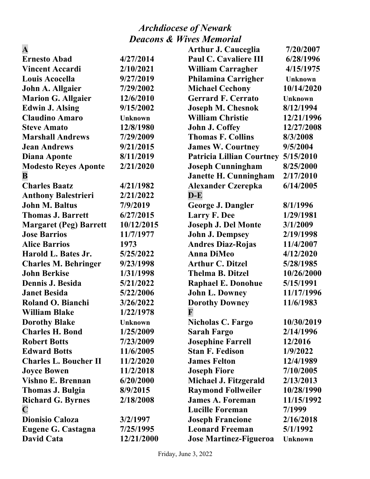| $\mathbf A$                   |                | <b>Arthur J. Cauceglia</b>       | 7/20/2007      |
|-------------------------------|----------------|----------------------------------|----------------|
| <b>Ernesto Abad</b>           | 4/27/2014      | <b>Paul C. Cavaliere III</b>     | 6/28/1996      |
| <b>Vincent Accardi</b>        | 2/10/2021      | <b>William Carragher</b>         | 4/15/1975      |
| Louis Acocella                | 9/27/2019      | <b>Philamina Carrigher</b>       | <b>Unknown</b> |
| John A. Allgaier              | 7/29/2002      | <b>Michael Cechony</b>           | 10/14/2020     |
| <b>Marion G. Allgaier</b>     | 12/6/2010      | <b>Gerrard F. Cerrato</b>        | <b>Unknown</b> |
| <b>Edwin J. Alsing</b>        | 9/15/2002      | <b>Joseph M. Chesnok</b>         | 8/12/1994      |
| <b>Claudino Amaro</b>         | <b>Unknown</b> | <b>William Christie</b>          | 12/21/1996     |
| <b>Steve Amato</b>            | 12/8/1980      | <b>John J. Coffey</b>            | 12/27/2008     |
| <b>Marshall Andrews</b>       | 7/29/2009      | <b>Thomas F. Collins</b>         | 8/3/2008       |
| <b>Jean Andrews</b>           | 9/21/2015      | <b>James W. Courtney</b>         | 9/5/2004       |
| Diana Aponte                  | 8/11/2019      | <b>Patricia Lillian Courtney</b> | 5/15/2010      |
| <b>Modesto Reyes Aponte</b>   | 2/21/2020      | <b>Joseph Cunningham</b>         | 8/25/2000      |
| B                             |                | <b>Janette H. Cunningham</b>     | 2/17/2010      |
| <b>Charles Baatz</b>          | 4/21/1982      | <b>Alexander Czerepka</b>        | 6/14/2005      |
| <b>Anthony Balestrieri</b>    | 2/21/2022      | $D-E$                            |                |
| <b>John M. Baltus</b>         | 7/9/2019       | <b>George J. Dangler</b>         | 8/1/1996       |
| <b>Thomas J. Barrett</b>      | 6/27/2015      | <b>Larry F. Dee</b>              | 1/29/1981      |
| <b>Margaret (Peg) Barrett</b> | 10/12/2015     | <b>Joseph J. Del Monte</b>       | 3/1/2009       |
| <b>Jose Barrios</b>           | 11/7/1977      | <b>John J. Dempsey</b>           | 2/19/1998      |
| <b>Alice Barrios</b>          | 1973           | <b>Andres Diaz-Rojas</b>         | 11/4/2007      |
| Harold L. Bates Jr.           | 5/25/2022      | <b>Anna DiMeo</b>                | 4/12/2020      |
| <b>Charles M. Behringer</b>   | 9/23/1998      | <b>Arthur C. Ditzel</b>          | 5/28/1985      |
| <b>John Berkise</b>           | 1/31/1998      | <b>Thelma B. Ditzel</b>          | 10/26/2000     |
| Dennis J. Besida              | 5/21/2022      | <b>Raphael E. Donohue</b>        | 5/15/1991      |
| <b>Janet Besida</b>           | 5/22/2006      | <b>John L. Downey</b>            | 11/17/1996     |
| Roland O. Bianchi             | 3/26/2022      | <b>Dorothy Downey</b>            | 11/6/1983      |
| <b>William Blake</b>          | 1/22/1978      | F                                |                |
| <b>Dorothy Blake</b>          | <b>Unknown</b> | <b>Nicholas C. Fargo</b>         | 10/30/2019     |
| <b>Charles H. Bond</b>        | 1/25/2009      | <b>Sarah Fargo</b>               | 2/14/1996      |
| <b>Robert Botts</b>           | 7/23/2009      | <b>Josephine Farrell</b>         | 12/2016        |
| <b>Edward Botts</b>           | 11/6/2005      | <b>Stan F. Fedison</b>           | 1/9/2022       |
| <b>Charles L. Boucher II</b>  | 11/2/2020      | <b>James Felton</b>              | 12/4/1989      |
| <b>Joyce Bowen</b>            | 11/2/2018      | <b>Joseph Fiore</b>              | 7/10/2005      |
| <b>Vishno E. Brennan</b>      | 6/20/2000      | Michael J. Fitzgerald            | 2/13/2013      |
| <b>Thomas J. Bulgia</b>       | 8/9/2015       | <b>Raymond Follweiler</b>        | 10/28/1990     |
| <b>Richard G. Byrnes</b>      | 2/18/2008      | <b>James A. Foreman</b>          | 11/15/1992     |
| $\mathbf C$                   |                | <b>Lucille Foreman</b>           | 7/1999         |
| <b>Dionisio Caloza</b>        | 3/2/1997       | <b>Joseph Francione</b>          | 2/16/2018      |
| <b>Eugene G. Castagna</b>     | 7/25/1995      | <b>Leonard Freeman</b>           | 5/1/1992       |
| <b>David Cata</b>             | 12/21/2000     | <b>Jose Martinez-Figueroa</b>    | <b>Unknown</b> |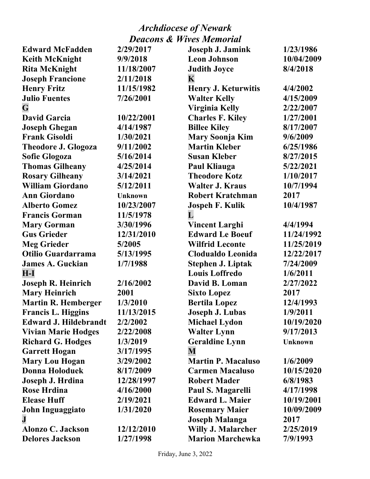| <b>Edward McFadden</b>       | 2/29/2017      | Joseph J. Jamink           | 1/23/1986      |
|------------------------------|----------------|----------------------------|----------------|
| <b>Keith McKnight</b>        | 9/9/2018       | <b>Leon Johnson</b>        | 10/04/2009     |
| <b>Rita McKnight</b>         | 11/18/2007     | <b>Judith Joyce</b>        | 8/4/2018       |
| <b>Joseph Francione</b>      | 2/11/2018      | K                          |                |
| <b>Henry Fritz</b>           | 11/15/1982     | <b>Henry J. Keturwitis</b> | 4/4/2002       |
| <b>Julio Fuentes</b>         | 7/26/2001      | <b>Walter Kelly</b>        | 4/15/2009      |
| G                            |                | <b>Virginia Kelly</b>      | 2/22/2007      |
| <b>David Garcia</b>          | 10/22/2001     | <b>Charles F. Kiley</b>    | 1/27/2001      |
| <b>Joseph Ghegan</b>         | 4/14/1987      | <b>Billee Kiley</b>        | 8/17/2007      |
| <b>Frank Gisoldi</b>         | 1/30/2021      | Mary Soonja Kim            | 9/6/2009       |
| <b>Theodore J. Glogoza</b>   | 9/11/2002      | <b>Martin Kleber</b>       | 6/25/1986      |
| <b>Sofie Glogoza</b>         | 5/16/2014      | <b>Susan Kleber</b>        | 8/27/2015      |
| <b>Thomas Gilheany</b>       | 4/25/2014      | Paul Kliauga               | 5/22/2021      |
| <b>Rosary Gilheany</b>       | 3/14/2021      | <b>Theodore Kotz</b>       | 1/10/2017      |
| <b>William Giordano</b>      | 5/12/2011      | <b>Walter J. Kraus</b>     | 10/7/1994      |
| <b>Ann Giordano</b>          | <b>Unknown</b> | <b>Robert Kratchman</b>    | 2017           |
| <b>Alberto Gomez</b>         | 10/23/2007     | <b>Jospeh F. Kulik</b>     | 10/4/1987      |
| <b>Francis Gorman</b>        | 11/5/1978      | L                          |                |
| <b>Mary Gorman</b>           | 3/30/1996      | <b>Vincent Larghi</b>      | 4/4/1994       |
| <b>Gus Grieder</b>           | 12/31/2010     | <b>Edward Le Boeuf</b>     | 11/24/1992     |
| <b>Meg Grieder</b>           | 5/2005         | <b>Wilfrid Leconte</b>     | 11/25/2019     |
| Otilio Guardarrama           | 5/13/1995      | <b>Clodualdo Leonida</b>   | 12/22/2017     |
| <b>James A. Guckian</b>      | 1/7/1988       | <b>Stephen J. Liptak</b>   | 7/24/2009      |
| $H-I$                        |                | <b>Louis Loffredo</b>      | 1/6/2011       |
| Joseph R. Heinrich           | 2/16/2002      | David B. Loman             | 2/27/2022      |
| <b>Mary Heinrich</b>         | 2001           | <b>Sixto Lopez</b>         | 2017           |
| <b>Martin R. Hemberger</b>   | 1/3/2010       | <b>Bertila Lopez</b>       | 12/4/1993      |
| <b>Francis L. Higgins</b>    | 11/13/2015     | <b>Joseph J. Lubas</b>     | 1/9/2011       |
| <b>Edward J. Hildebrandt</b> | 2/2/2002       | <b>Michael Lydon</b>       | 10/19/2020     |
| <b>Vivian Marie Hodges</b>   | 2/22/2008      | <b>Walter Lynn</b>         | 9/17/2013      |
| <b>Richard G. Hodges</b>     | 1/3/2019       | <b>Geraldine Lynn</b>      | <b>Unknown</b> |
| <b>Garrett Hogan</b>         | 3/17/1995      | M                          |                |
| <b>Mary Lou Hogan</b>        | 3/29/2002      | <b>Martin P. Macaluso</b>  | 1/6/2009       |
| <b>Donna Holoduek</b>        | 8/17/2009      | <b>Carmen Macaluso</b>     | 10/15/2020     |
| Joseph J. Hrdina             | 12/28/1997     | <b>Robert Mader</b>        | 6/8/1983       |
| <b>Rose Hrdina</b>           | 4/16/2000      | Paul S. Magarelli          | 4/17/1998      |
| <b>Elease Huff</b>           | 2/19/2021      | <b>Edward L. Maier</b>     | 10/19/2001     |
| John Inguaggiato             | 1/31/2020      | <b>Rosemary Maier</b>      | 10/09/2009     |
| ${\bf J}$                    |                | <b>Joseph Malanga</b>      | 2017           |
| Alonzo C. Jackson            | 12/12/2010     | Willy J. Malarcher         | 2/25/2019      |
| <b>Delores Jackson</b>       | 1/27/1998      | <b>Marion Marchewka</b>    | 7/9/1993       |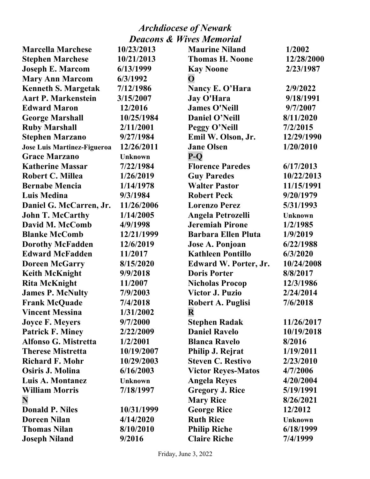| <b>Marcella Marchese</b>           | 10/23/2013     | <b>Maurine Niland</b>      | 1/2002         |
|------------------------------------|----------------|----------------------------|----------------|
| <b>Stephen Marchese</b>            | 10/21/2013     | <b>Thomas H. Noone</b>     | 12/28/2000     |
| <b>Joseph E. Marcom</b>            | 6/13/1999      | <b>Kay Noone</b>           | 2/23/1987      |
| <b>Mary Ann Marcom</b>             | 6/3/1992       | $\mathbf{O}$               |                |
| <b>Kenneth S. Margetak</b>         | 7/12/1986      | Nancy E. O'Hara            | 2/9/2022       |
| <b>Aart P. Markenstein</b>         | 3/15/2007      | <b>Jay O'Hara</b>          | 9/18/1991      |
| <b>Edward Maron</b>                | 12/2016        | <b>James O'Neill</b>       | 9/7/2007       |
| <b>George Marshall</b>             | 10/25/1984     | Daniel O'Neill             | 8/11/2020      |
| <b>Ruby Marshall</b>               | 2/11/2001      | Peggy O'Neill              | 7/2/2015       |
| <b>Stephen Marzano</b>             | 9/27/1984      | Emil W. Olson, Jr.         | 12/29/1990     |
| <b>Jose Luis Martinez-Figueroa</b> | 12/26/2011     | <b>Jane Olsen</b>          | 1/20/2010      |
| <b>Grace Marzano</b>               | <b>Unknown</b> | $P-O$                      |                |
| <b>Katherine Massar</b>            | 7/22/1984      | <b>Florence Paredes</b>    | 6/17/2013      |
| Robert C. Millea                   | 1/26/2019      | <b>Guy Paredes</b>         | 10/22/2013     |
| <b>Bernabe Mencia</b>              | 1/14/1978      | <b>Walter Pastor</b>       | 11/15/1991     |
| <b>Luis Medina</b>                 | 9/3/1984       | <b>Robert Peck</b>         | 9/20/1979      |
| Daniel G. McCarren, Jr.            | 11/26/2006     | <b>Lorenzo Perez</b>       | 5/31/1993      |
| <b>John T. McCarthy</b>            | 1/14/2005      | <b>Angela Petrozelli</b>   | <b>Unknown</b> |
| David M. McComb                    | 4/9/1998       | <b>Jeremiah Pirone</b>     | 1/2/1985       |
| <b>Blanke McComb</b>               | 12/21/1999     | <b>Barbara Ellen Pluta</b> | 1/9/2019       |
| <b>Dorothy McFadden</b>            | 12/6/2019      | Jose A. Ponjoan            | 6/22/1988      |
| <b>Edward McFadden</b>             | 11/2017        | <b>Kathleen Pontillo</b>   | 6/3/2020       |
| <b>Doreen McGarry</b>              | 8/15/2020      | Edward W. Porter, Jr.      | 10/24/2008     |
| <b>Keith McKnight</b>              | 9/9/2018       | <b>Doris Porter</b>        | 8/8/2017       |
| <b>Rita McKnight</b>               | 11/2007        | <b>Nicholas Procop</b>     | 12/3/1986      |
| <b>James P. McNulty</b>            | 7/9/2003       | <b>Victor J. Puzio</b>     | 2/24/2014      |
| <b>Frank McQuade</b>               | 7/4/2018       | <b>Robert A. Puglisi</b>   | 7/6/2018       |
| <b>Vincent Messina</b>             | 1/31/2002      | $\mathbf R$                |                |
| <b>Joyce F. Meyers</b>             | 9/7/2000       | <b>Stephen Radak</b>       | 11/26/2017     |
| <b>Patrick F. Miney</b>            | 2/22/2009      | <b>Daniel Ravelo</b>       | 10/19/2018     |
| <b>Alfonso G. Mistretta</b>        | 1/2/2001       | <b>Blanca Ravelo</b>       | 8/2016         |
| <b>Therese Mistretta</b>           | 10/19/2007     | Philip J. Rejrat           | 1/19/2011      |
| <b>Richard F. Mohr</b>             | 10/29/2003     | <b>Steven C. Restivo</b>   | 2/23/2010      |
| Osiris J. Molina                   | 6/16/2003      | <b>Victor Reyes-Matos</b>  | 4/7/2006       |
| Luis A. Montanez                   | <b>Unknown</b> | <b>Angela Reyes</b>        | 4/20/2004      |
| <b>William Morris</b>              | 7/18/1997      | <b>Gregory J. Rice</b>     | 5/19/1991      |
| N                                  |                | <b>Mary Rice</b>           | 8/26/2021      |
| <b>Donald P. Niles</b>             | 10/31/1999     | <b>George Rice</b>         | 12/2012        |
| <b>Doreen Nilan</b>                | 4/14/2020      | <b>Ruth Rice</b>           | <b>Unknown</b> |
| <b>Thomas Nilan</b>                | 8/10/2010      | <b>Philip Riche</b>        | 6/18/1999      |
| <b>Joseph Niland</b>               | 9/2016         | <b>Claire Riche</b>        | 7/4/1999       |